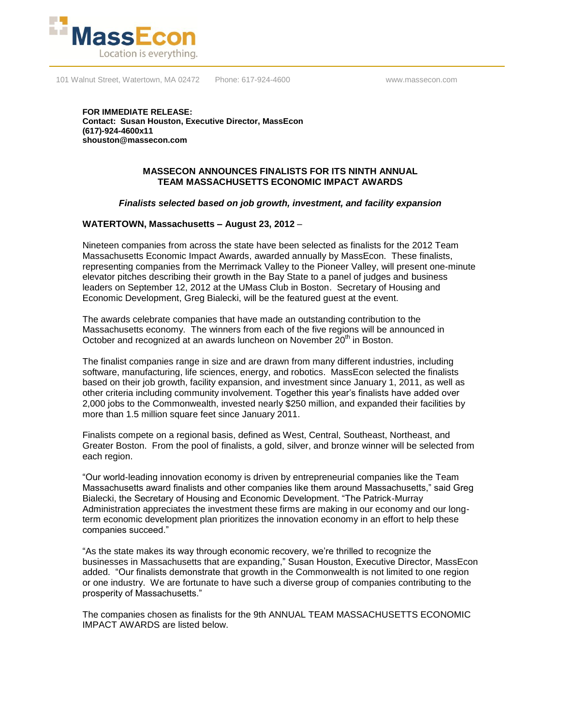

101 Walnut Street, Watertown, MA 02472 Phone: 617-924-4600 www.massecon.com

**FOR IMMEDIATE RELEASE: Contact: Susan Houston, Executive Director, MassEcon (617)-924-4600x11 shouston@massecon.com**

## **MASSECON ANNOUNCES FINALISTS FOR ITS NINTH ANNUAL TEAM MASSACHUSETTS ECONOMIC IMPACT AWARDS**

## *Finalists selected based on job growth, investment, and facility expansion*

## **WATERTOWN, Massachusetts – August 23, 2012** –

Nineteen companies from across the state have been selected as finalists for the 2012 Team Massachusetts Economic Impact Awards, awarded annually by MassEcon. These finalists, representing companies from the Merrimack Valley to the Pioneer Valley, will present one-minute elevator pitches describing their growth in the Bay State to a panel of judges and business leaders on September 12, 2012 at the UMass Club in Boston. Secretary of Housing and Economic Development, Greg Bialecki, will be the featured guest at the event.

The awards celebrate companies that have made an outstanding contribution to the Massachusetts economy. The winners from each of the five regions will be announced in October and recognized at an awards luncheon on November 20<sup>th</sup> in Boston.

The finalist companies range in size and are drawn from many different industries, including software, manufacturing, life sciences, energy, and robotics. MassEcon selected the finalists based on their job growth, facility expansion, and investment since January 1, 2011, as well as other criteria including community involvement. Together this year's finalists have added over 2,000 jobs to the Commonwealth, invested nearly \$250 million, and expanded their facilities by more than 1.5 million square feet since January 2011.

Finalists compete on a regional basis, defined as West, Central, Southeast, Northeast, and Greater Boston. From the pool of finalists, a gold, silver, and bronze winner will be selected from each region.

"Our world-leading innovation economy is driven by entrepreneurial companies like the Team Massachusetts award finalists and other companies like them around Massachusetts," said Greg Bialecki, the Secretary of Housing and Economic Development. "The Patrick-Murray Administration appreciates the investment these firms are making in our economy and our longterm economic development plan prioritizes the innovation economy in an effort to help these companies succeed."

"As the state makes its way through economic recovery, we're thrilled to recognize the businesses in Massachusetts that are expanding," Susan Houston, Executive Director, MassEcon added. "Our finalists demonstrate that growth in the Commonwealth is not limited to one region or one industry. We are fortunate to have such a diverse group of companies contributing to the prosperity of Massachusetts."

The companies chosen as finalists for the 9th ANNUAL TEAM MASSACHUSETTS ECONOMIC IMPACT AWARDS are listed below.